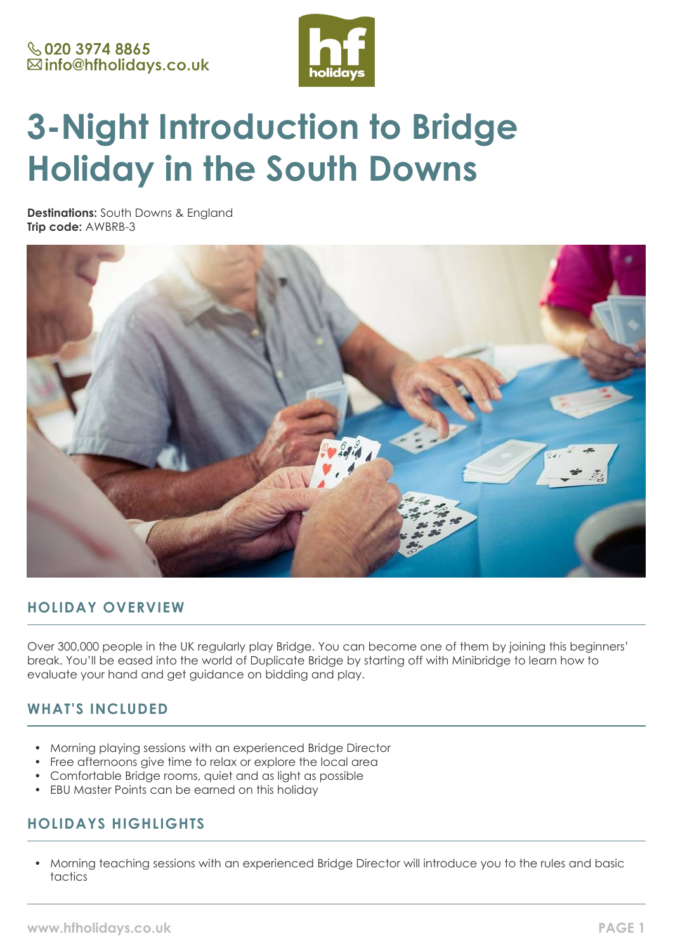

# **3-Night Introduction to Bridge Holiday in the South Downs**

**Destinations:** South Downs & England **Trip code:** AWBRB-3



# **HOLIDAY OVERVIEW**

Over 300,000 people in the UK regularly play Bridge. You can become one of them by joining this beginners' break. You'll be eased into the world of Duplicate Bridge by starting off with Minibridge to learn how to evaluate your hand and get guidance on bidding and play.

# **WHAT'S INCLUDED**

- Morning playing sessions with an experienced Bridge Director
- Free afternoons give time to relax or explore the local area
- Comfortable Bridge rooms, quiet and as light as possible
- EBU Master Points can be earned on this holiday

# **HOLIDAYS HIGHLIGHTS**

• Morning teaching sessions with an experienced Bridge Director will introduce you to the rules and basic tactics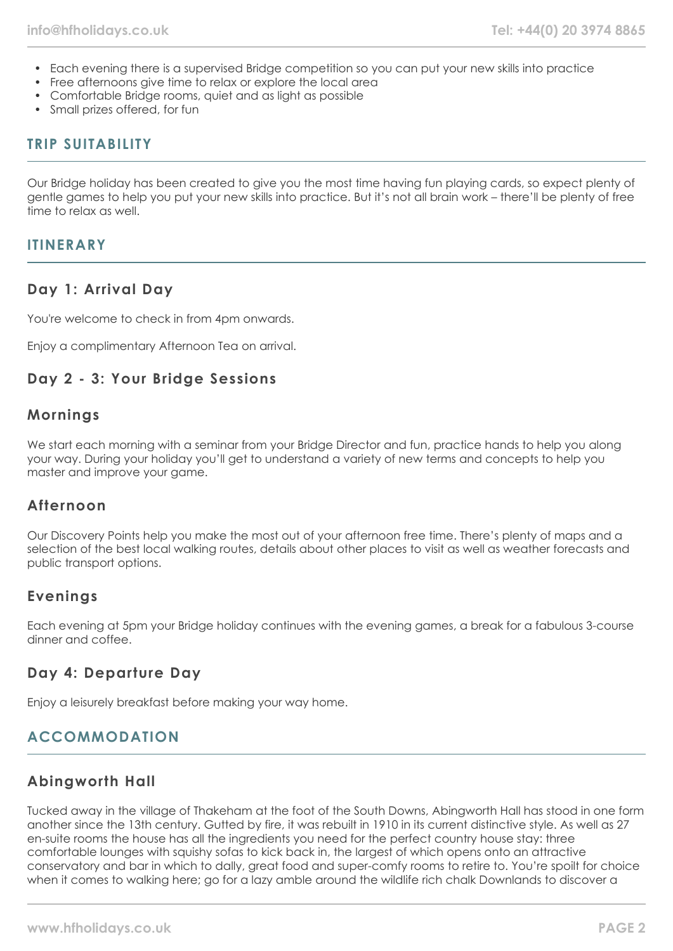- Each evening there is a supervised Bridge competition so you can put your new skills into practice
- Free afternoons give time to relax or explore the local area
- Comfortable Bridge rooms, quiet and as light as possible
- Small prizes offered, for fun

# **TRIP SUITABILITY**

Our Bridge holiday has been created to give you the most time having fun playing cards, so expect plenty of gentle games to help you put your new skills into practice. But it's not all brain work – there'll be plenty of free time to relax as well.

# **ITINERARY**

# **Day 1: Arrival Day**

You're welcome to check in from 4pm onwards.

Enjoy a complimentary Afternoon Tea on arrival.

# **Day 2 - 3: Your Bridge Sessions**

# **Mornings**

We start each morning with a seminar from your Bridge Director and fun, practice hands to help you along your way. During your holiday you'll get to understand a variety of new terms and concepts to help you master and improve your game.

# **Afternoon**

Our Discovery Points help you make the most out of your afternoon free time. There's plenty of maps and a selection of the best local walking routes, details about other places to visit as well as weather forecasts and public transport options.

# **Evenings**

Each evening at 5pm your Bridge holiday continues with the evening games, a break for a fabulous 3-course dinner and coffee.

# **Day 4: Departure Day**

Enjoy a leisurely breakfast before making your way home.

# **ACCOMMODATION**

# **Abingworth Hall**

Tucked away in the village of Thakeham at the foot of the South Downs, Abingworth Hall has stood in one form another since the 13th century. Gutted by fire, it was rebuilt in 1910 in its current distinctive style. As well as 27 en-suite rooms the house has all the ingredients you need for the perfect country house stay: three comfortable lounges with squishy sofas to kick back in, the largest of which opens onto an attractive conservatory and bar in which to dally, great food and super-comfy rooms to retire to. You're spoilt for choice when it comes to walking here; go for a lazy amble around the wildlife rich chalk Downlands to discover a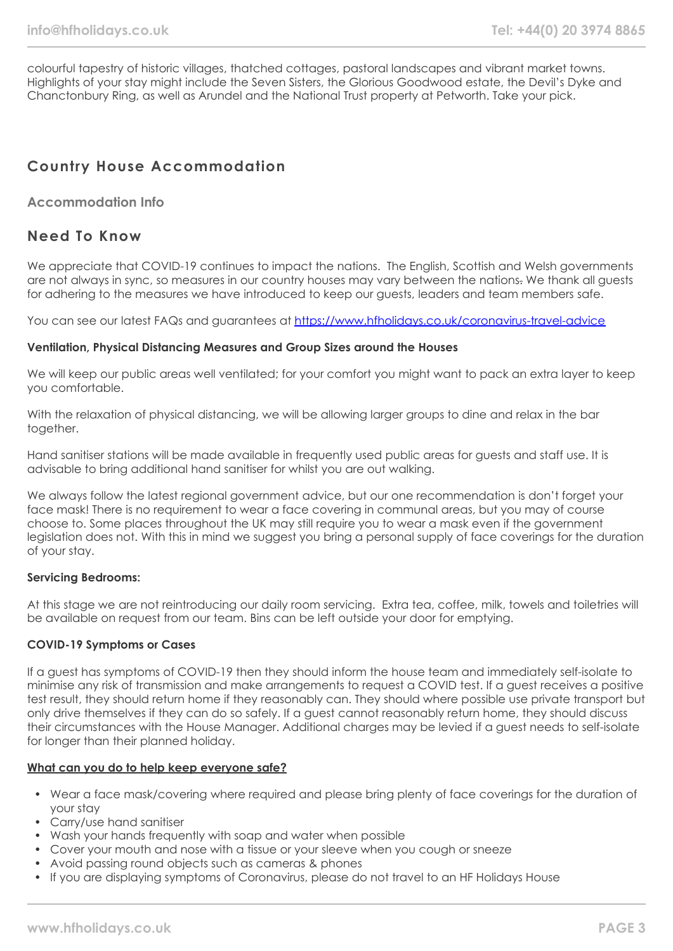colourful tapestry of historic villages, thatched cottages, pastoral landscapes and vibrant market towns. Highlights of your stay might include the Seven Sisters, the Glorious Goodwood estate, the Devil's Dyke and Chanctonbury Ring, as well as Arundel and the National Trust property at Petworth. Take your pick.

# **Country House Accommodation**

## **Accommodation Info**

# **Need To Know**

We appreciate that COVID-19 continues to impact the nations. The English, Scottish and Welsh governments are not always in sync, so measures in our country houses may vary between the nations. We thank all guests for adhering to the measures we have introduced to keep our guests, leaders and team members safe.

You can see our latest FAQs and guarantees at <https://www.hfholidays.co.uk/coronavirus-travel-advice>

#### **Ventilation, Physical Distancing Measures and Group Sizes around the Houses**

We will keep our public areas well ventilated; for your comfort you might want to pack an extra layer to keep you comfortable.

With the relaxation of physical distancing, we will be allowing larger groups to dine and relax in the bar together.

Hand sanitiser stations will be made available in frequently used public areas for guests and staff use. It is advisable to bring additional hand sanitiser for whilst you are out walking.

We always follow the latest regional government advice, but our one recommendation is don't forget your face mask! There is no requirement to wear a face covering in communal areas, but you may of course choose to. Some places throughout the UK may still require you to wear a mask even if the government legislation does not. With this in mind we suggest you bring a personal supply of face coverings for the duration of your stay.

## **Servicing Bedrooms:**

At this stage we are not reintroducing our daily room servicing. Extra tea, coffee, milk, towels and toiletries will be available on request from our team. Bins can be left outside your door for emptying.

#### **COVID-19 Symptoms or Cases**

If a guest has symptoms of COVID-19 then they should inform the house team and immediately self-isolate to minimise any risk of transmission and make arrangements to request a COVID test. If a guest receives a positive test result, they should return home if they reasonably can. They should where possible use private transport but only drive themselves if they can do so safely. If a guest cannot reasonably return home, they should discuss their circumstances with the House Manager. Additional charges may be levied if a guest needs to self-isolate for longer than their planned holiday.

#### **What can you do to help keep everyone safe?**

- Wear a face mask/covering where required and please bring plenty of face coverings for the duration of your stay
- Carry/use hand sanitiser
- Wash your hands frequently with soap and water when possible
- Cover your mouth and nose with a tissue or your sleeve when you cough or sneeze
- Avoid passing round objects such as cameras & phones
- If you are displaying symptoms of Coronavirus, please do not travel to an HF Holidays House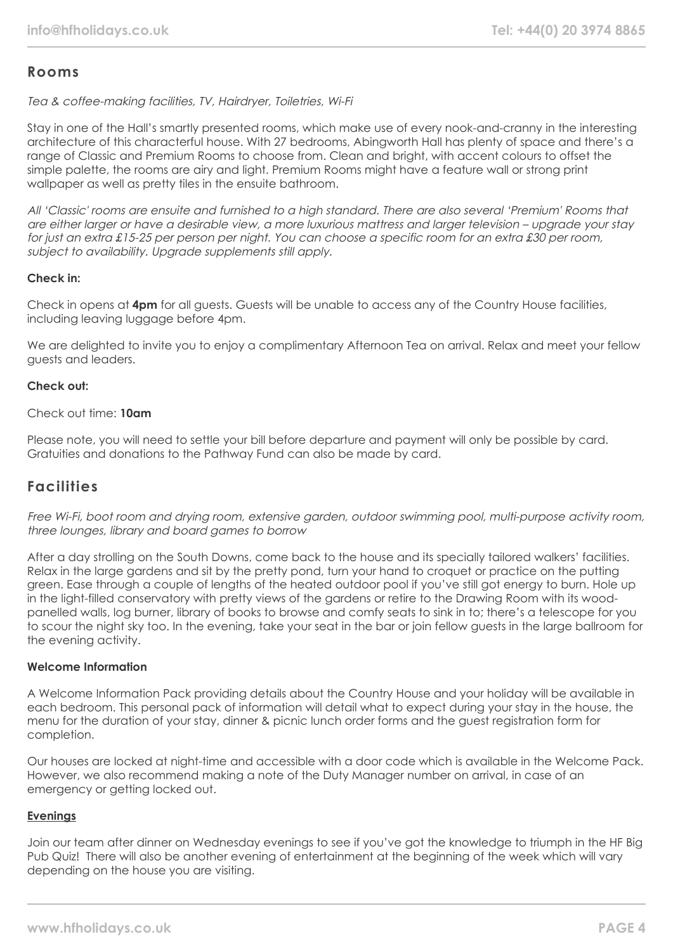# **Rooms**

Tea & coffee-making facilities, TV, Hairdryer, Toiletries, Wi-Fi

Stay in one of the Hall's smartly presented rooms, which make use of every nook-and-cranny in the interesting architecture of this characterful house. With 27 bedrooms, Abingworth Hall has plenty of space and there's a range of Classic and Premium Rooms to choose from. Clean and bright, with accent colours to offset the simple palette, the rooms are airy and light. Premium Rooms might have a feature wall or strong print wallpaper as well as pretty tiles in the ensuite bathroom.

All 'Classic' rooms are ensuite and furnished to a high standard. There are also several 'Premium' Rooms that are either larger or have a desirable view, a more luxurious mattress and larger television – upgrade your stay for just an extra £15-25 per person per night. You can choose a specific room for an extra £30 per room, subject to availability. Upgrade supplements still apply.

## **Check in:**

Check in opens at **4pm** for all guests. Guests will be unable to access any of the Country House facilities, including leaving luggage before 4pm.

We are delighted to invite you to enjoy a complimentary Afternoon Tea on arrival. Relax and meet your fellow guests and leaders.

## **Check out:**

## Check out time: **10am**

Please note, you will need to settle your bill before departure and payment will only be possible by card. Gratuities and donations to the Pathway Fund can also be made by card.

# **Facilities**

Free Wi-Fi, boot room and drying room, extensive garden, outdoor swimming pool, multi-purpose activity room, three lounges, library and board games to borrow

After a day strolling on the South Downs, come back to the house and its specially tailored walkers' facilities. Relax in the large gardens and sit by the pretty pond, turn your hand to croquet or practice on the putting green. Ease through a couple of lengths of the heated outdoor pool if you've still got energy to burn. Hole up in the light-filled conservatory with pretty views of the gardens or retire to the Drawing Room with its woodpanelled walls, log burner, library of books to browse and comfy seats to sink in to; there's a telescope for you to scour the night sky too. In the evening, take your seat in the bar or join fellow guests in the large ballroom for the evening activity.

## **Welcome Information**

A Welcome Information Pack providing details about the Country House and your holiday will be available in each bedroom. This personal pack of information will detail what to expect during your stay in the house, the menu for the duration of your stay, dinner & picnic lunch order forms and the guest registration form for completion.

Our houses are locked at night-time and accessible with a door code which is available in the Welcome Pack. However, we also recommend making a note of the Duty Manager number on arrival, in case of an emergency or getting locked out.

## **Evenings**

Join our team after dinner on Wednesday evenings to see if you've got the knowledge to triumph in the HF Big Pub Quiz! There will also be another evening of entertainment at the beginning of the week which will vary depending on the house you are visiting.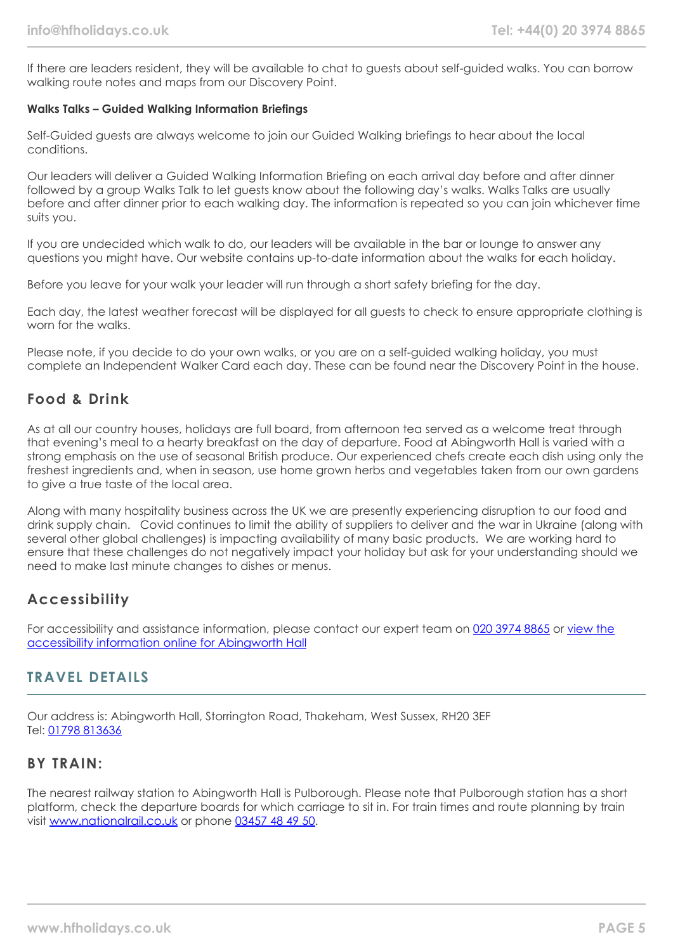If there are leaders resident, they will be available to chat to guests about self-guided walks. You can borrow walking route notes and maps from our Discovery Point.

#### **Walks Talks – Guided Walking Information Briefings**

Self-Guided guests are always welcome to join our Guided Walking briefings to hear about the local conditions.

Our leaders will deliver a Guided Walking Information Briefing on each arrival day before and after dinner followed by a group Walks Talk to let guests know about the following day's walks. Walks Talks are usually before and after dinner prior to each walking day. The information is repeated so you can join whichever time suits you.

If you are undecided which walk to do, our leaders will be available in the bar or lounge to answer any questions you might have. Our website contains up-to-date information about the walks for each holiday.

Before you leave for your walk your leader will run through a short safety briefing for the day.

Each day, the latest weather forecast will be displayed for all guests to check to ensure appropriate clothing is worn for the walks.

Please note, if you decide to do your own walks, or you are on a self-guided walking holiday, you must complete an Independent Walker Card each day. These can be found near the Discovery Point in the house.

# **Food & Drink**

As at all our country houses, holidays are full board, from afternoon tea served as a welcome treat through that evening's meal to a hearty breakfast on the day of departure. Food at Abingworth Hall is varied with a strong emphasis on the use of seasonal British produce. Our experienced chefs create each dish using only the freshest ingredients and, when in season, use home grown herbs and vegetables taken from our own gardens to give a true taste of the local area.

Along with many hospitality business across the UK we are presently experiencing disruption to our food and drink supply chain. Covid continues to limit the ability of suppliers to deliver and the war in Ukraine (along with several other global challenges) is impacting availability of many basic products. We are working hard to ensure that these challenges do not negatively impact your holiday but ask for your understanding should we need to make last minute changes to dishes or menus.

# **Accessibility**

For accessibility and assistance information, please contact our expert team on [020 3974 8865](tel:02039748865) or [view the](https://www.hfholidays.co.uk/images/Documents/accessibility_statements/Abingworth_-_accessibility_information_-_update_Feb_2021.pdf) [accessibility information online for Abingworth Hall](https://www.hfholidays.co.uk/images/Documents/accessibility_statements/Abingworth_-_accessibility_information_-_update_Feb_2021.pdf)

# **TRAVEL DETAILS**

Our address is: Abingworth Hall, Storrington Road, Thakeham, West Sussex, RH20 3EF Tel: [01798 813636](tel:01798813636)

## **BY TRAIN:**

The nearest railway station to Abingworth Hall is Pulborough. Please note that Pulborough station has a short platform, check the departure boards for which carriage to sit in. For train times and route planning by train visit [www.nationalrail.co.uk](http://www.nationalrail.co.uk/) or phone [03457 48 49 50.](tel:01903745414)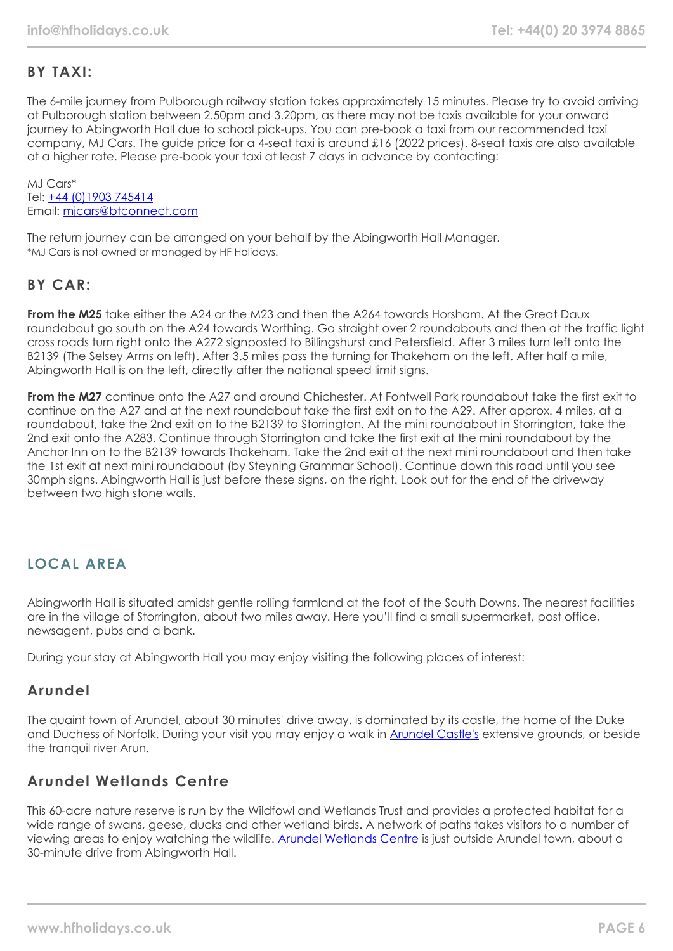# **BY TAXI:**

The 6-mile journey from Pulborough railway station takes approximately 15 minutes. Please try to avoid arriving at Pulborough station between 2.50pm and 3.20pm, as there may not be taxis available for your onward journey to Abingworth Hall due to school pick-ups. You can pre-book a taxi from our recommended taxi company, MJ Cars. The guide price for a 4-seat taxi is around £16 (2022 prices). 8-seat taxis are also available at a higher rate. Please pre-book your taxi at least 7 days in advance by contacting:

MJ Cars\* Tel: [+44 \(0\)1903 745414](tel:01903745414) Email: [mjcars@btconnect.com](mailto:mjcars@btconnect.com)

The return journey can be arranged on your behalf by the Abingworth Hall Manager. \*MJ Cars is not owned or managed by HF Holidays.

# **BY CAR:**

**From the M25** take either the A24 or the M23 and then the A264 towards Horsham. At the Great Daux roundabout go south on the A24 towards Worthing. Go straight over 2 roundabouts and then at the traffic light cross roads turn right onto the A272 signposted to Billingshurst and Petersfield. After 3 miles turn left onto the B2139 (The Selsey Arms on left). After 3.5 miles pass the turning for Thakeham on the left. After half a mile, Abingworth Hall is on the left, directly after the national speed limit signs.

**From the M27** continue onto the A27 and around Chichester. At Fontwell Park roundabout take the first exit to continue on the A27 and at the next roundabout take the first exit on to the A29. After approx. 4 miles, at a roundabout, take the 2nd exit on to the B2139 to Storrington. At the mini roundabout in Storrington, take the 2nd exit onto the A283. Continue through Storrington and take the first exit at the mini roundabout by the Anchor Inn on to the B2139 towards Thakeham. Take the 2nd exit at the next mini roundabout and then take the 1st exit at next mini roundabout (by Steyning Grammar School). Continue down this road until you see 30mph signs. Abingworth Hall is just before these signs, on the right. Look out for the end of the driveway between two high stone walls.

# **LOCAL AREA**

Abingworth Hall is situated amidst gentle rolling farmland at the foot of the South Downs. The nearest facilities are in the village of Storrington, about two miles away. Here you'll find a small supermarket, post office, newsagent, pubs and a bank.

During your stay at Abingworth Hall you may enjoy visiting the following places of interest:

# **Arundel**

The quaint town of Arundel, about 30 minutes' drive away, is dominated by its castle, the home of the Duke and Duchess of Norfolk. During your visit you may enjoy a walk in **[Arundel Castle's](https://www.arundelcastle.org/)** extensive grounds, or beside the tranquil river Arun.

# **Arundel Wetlands Centre**

This 60-acre nature reserve is run by the Wildfowl and Wetlands Trust and provides a protected habitat for a wide range of swans, geese, ducks and other wetland birds. A network of paths takes visitors to a number of viewing areas to enjoy watching the wildlife. [Arundel Wetlands Centre](https://www.wwt.org.uk/wetland-centres/arundel) is just outside Arundel town, about a 30-minute drive from Abingworth Hall.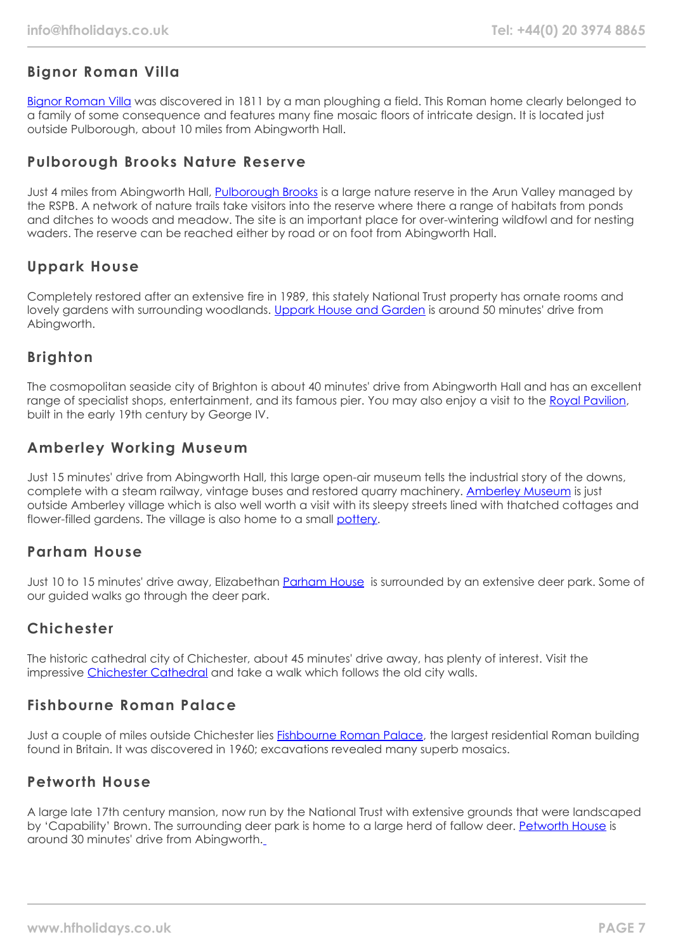# **Bignor Roman Villa**

[Bignor Roman Villa](https://www.bignorromanvilla.co.uk/) was discovered in 1811 by a man ploughing a field. This Roman home clearly belonged to a family of some consequence and features many fine mosaic floors of intricate design. It is located just outside Pulborough, about 10 miles from Abingworth Hall.

# **Pulborough Brooks Nature Reserve**

Just 4 miles from Abingworth Hall, [Pulborough Brooks](https://www.rspb.org.uk/reserves-and-events/reserves-a-z/pulborough-brooks/) is a large nature reserve in the Arun Valley managed by the RSPB. A network of nature trails take visitors into the reserve where there a range of habitats from ponds and ditches to woods and meadow. The site is an important place for over-wintering wildfowl and for nesting waders. The reserve can be reached either by road or on foot from Abingworth Hall.

# **Uppark House**

Completely restored after an extensive fire in 1989, this stately National Trust property has ornate rooms and lovely gardens with surrounding woodlands. [Uppark House and Garden](https://www.nationaltrust.org.uk/uppark-house-and-garden) is around 50 minutes' drive from Abingworth.

# **Brighton**

The cosmopolitan seaside city of Brighton is about 40 minutes' drive from Abingworth Hall and has an excellent range of specialist shops, entertainment, and its famous pier. You may also enjoy a visit to the [Royal Pavilion](https://brightonmuseums.org.uk/royalpavilion/), built in the early 19th century by George IV.

# **Amberley Working Museum**

Just 15 minutes' drive from Abingworth Hall, this large open-air museum tells the industrial story of the downs, complete with a steam railway, vintage buses and restored quarry machinery. [Amberley Museum](https://www.amberleymuseum.co.uk/) is just outside Amberley village which is also well worth a visit with its sleepy streets lined with thatched cottages and flower-filled gardens. The village is also home to a small [pottery.](http://www.amberleypottery.co.uk/)

# **Parham House**

Just 10 to 15 minutes' drive away, Elizabethan [Parham House](https://www.parhaminsussex.co.uk/) is surrounded by an extensive deer park. Some of our guided walks go through the deer park.

# **Chichester**

The historic cathedral city of Chichester, about 45 minutes' drive away, has plenty of interest. Visit the impressive [Chichester Cathedral](https://www.chichestercathedral.org.uk/) and take a walk which follows the old city walls.

# **Fishbourne Roman Palace**

Just a couple of miles outside Chichester lies [Fishbourne Roman Palace,](https://www.visitchichester.org/activity/fishbourne-roman-palace-and-gardens) the largest residential Roman building found in Britain. It was discovered in 1960; excavations revealed many superb mosaics.

# **Petworth House**

A large late 17th century mansion, now run by the National Trust with extensive grounds that were landscaped by 'Capability' Brown. The surrounding deer park is home to a large herd of fallow deer. [Petworth House](https://www.nationaltrust.org.uk/petworth-house-and-park) is around 30 minutes' drive from Abingworth.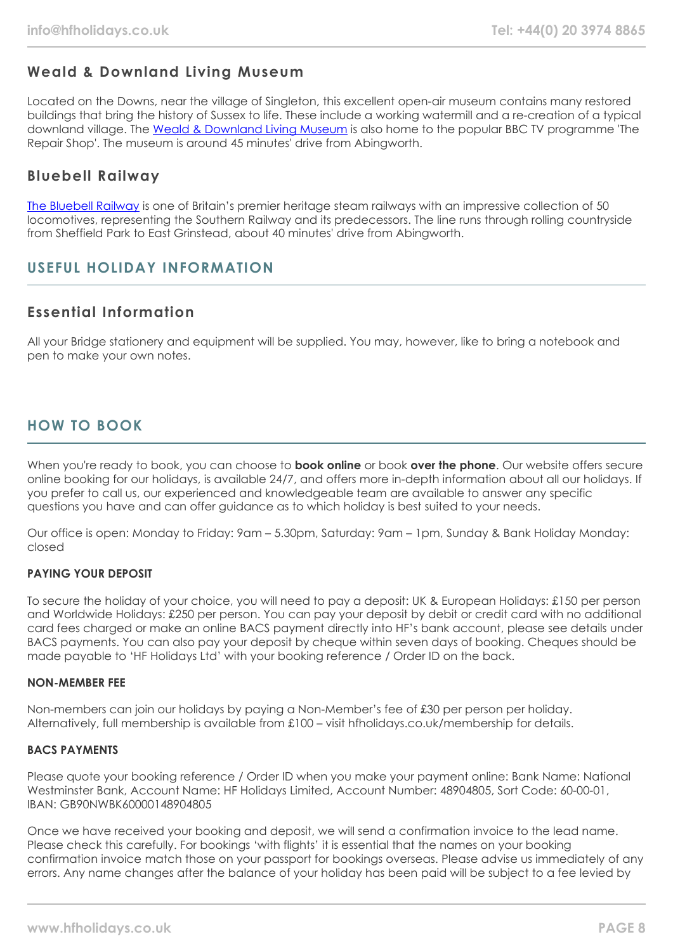# **Weald & Downland Living Museum**

Located on the Downs, near the village of Singleton, this excellent open-air museum contains many restored buildings that bring the history of Sussex to life. These include a working watermill and a re-creation of a typical downland village. The [Weald & Downland Living Museum](https://www.wealddown.co.uk/) is also home to the popular BBC TV programme 'The Repair Shop'. The museum is around 45 minutes' drive from Abingworth.

# **Bluebell Railway**

[The Bluebell Railway](https://www.bluebell-railway.com/brps/) is one of Britain's premier heritage steam railways with an impressive collection of 50 locomotives, representing the Southern Railway and its predecessors. The line runs through rolling countryside from Sheffield Park to East Grinstead, about 40 minutes' drive from Abingworth.

# **USEFUL HOLIDAY INFORMATION**

# **Essential Information**

All your Bridge stationery and equipment will be supplied. You may, however, like to bring a notebook and pen to make your own notes.

# **HOW TO BOOK**

When you're ready to book, you can choose to **book online** or book **over the phone**. Our website offers secure online booking for our holidays, is available 24/7, and offers more in-depth information about all our holidays. If you prefer to call us, our experienced and knowledgeable team are available to answer any specific questions you have and can offer guidance as to which holiday is best suited to your needs.

Our office is open: Monday to Friday: 9am – 5.30pm, Saturday: 9am – 1pm, Sunday & Bank Holiday Monday: closed

## **PAYING YOUR DEPOSIT**

To secure the holiday of your choice, you will need to pay a deposit: UK & European Holidays: £150 per person and Worldwide Holidays: £250 per person. You can pay your deposit by debit or credit card with no additional card fees charged or make an online BACS payment directly into HF's bank account, please see details under BACS payments. You can also pay your deposit by cheque within seven days of booking. Cheques should be made payable to 'HF Holidays Ltd' with your booking reference / Order ID on the back.

#### **NON-MEMBER FEE**

Non-members can join our holidays by paying a Non-Member's fee of £30 per person per holiday. Alternatively, full membership is available from £100 – visit hfholidays.co.uk/membership for details.

#### **BACS PAYMENTS**

Please quote your booking reference / Order ID when you make your payment online: Bank Name: National Westminster Bank, Account Name: HF Holidays Limited, Account Number: 48904805, Sort Code: 60-00-01, IBAN: GB90NWBK60000148904805

Once we have received your booking and deposit, we will send a confirmation invoice to the lead name. Please check this carefully. For bookings 'with flights' it is essential that the names on your booking confirmation invoice match those on your passport for bookings overseas. Please advise us immediately of any errors. Any name changes after the balance of your holiday has been paid will be subject to a fee levied by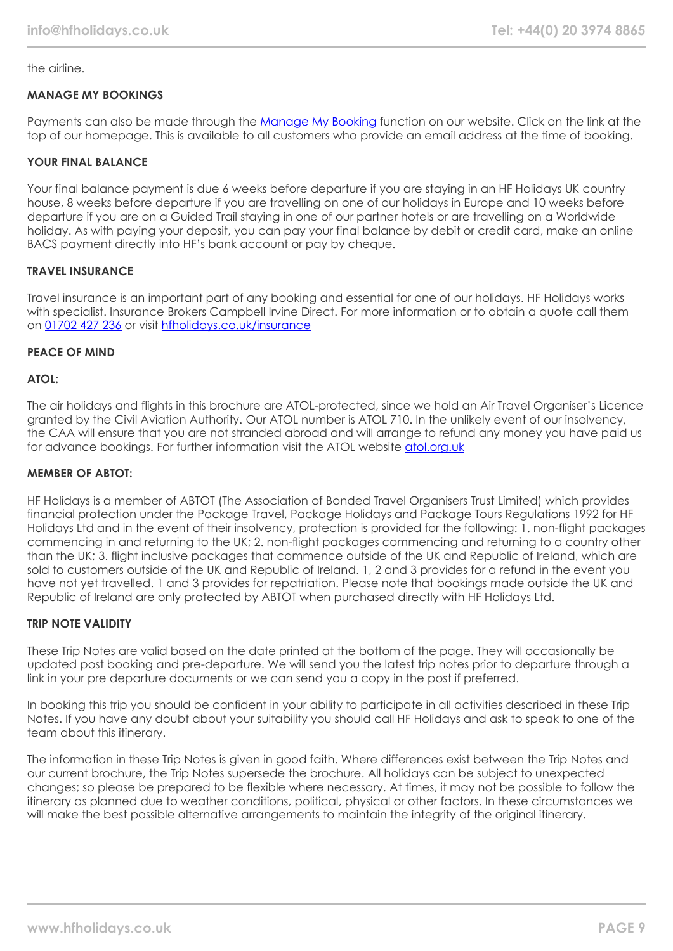the airline.

## **MANAGE MY BOOKINGS**

Payments can also be made through the [Manage My Booking](https://www.hfholidays.co.uk/about-us/bookings/my-booking) function on our website. Click on the link at the top of our homepage. This is available to all customers who provide an email address at the time of booking.

## **YOUR FINAL BALANCE**

Your final balance payment is due 6 weeks before departure if you are staying in an HF Holidays UK country house, 8 weeks before departure if you are travelling on one of our holidays in Europe and 10 weeks before departure if you are on a Guided Trail staying in one of our partner hotels or are travelling on a Worldwide holiday. As with paying your deposit, you can pay your final balance by debit or credit card, make an online BACS payment directly into HF's bank account or pay by cheque.

## **TRAVEL INSURANCE**

Travel insurance is an important part of any booking and essential for one of our holidays. HF Holidays works with specialist. Insurance Brokers Campbell Irvine Direct. For more information or to obtain a quote call them on [01702 427 236](tel:01702427236) or visit [hfholidays.co.uk/insurance](https://www.hfholidays.co.uk/about-us/bookings/insurance)

## **PEACE OF MIND**

## **ATOL:**

The air holidays and flights in this brochure are ATOL-protected, since we hold an Air Travel Organiser's Licence granted by the Civil Aviation Authority. Our ATOL number is ATOL 710. In the unlikely event of our insolvency, the CAA will ensure that you are not stranded abroad and will arrange to refund any money you have paid us for advance bookings. For further information visit the ATOL website [atol.org.uk](https://www.atol.org/)

#### **MEMBER OF ABTOT:**

HF Holidays is a member of ABTOT (The Association of Bonded Travel Organisers Trust Limited) which provides financial protection under the Package Travel, Package Holidays and Package Tours Regulations 1992 for HF Holidays Ltd and in the event of their insolvency, protection is provided for the following: 1. non-flight packages commencing in and returning to the UK; 2. non-flight packages commencing and returning to a country other than the UK; 3. flight inclusive packages that commence outside of the UK and Republic of Ireland, which are sold to customers outside of the UK and Republic of Ireland. 1, 2 and 3 provides for a refund in the event you have not yet travelled. 1 and 3 provides for repatriation. Please note that bookings made outside the UK and Republic of Ireland are only protected by ABTOT when purchased directly with HF Holidays Ltd.

## **TRIP NOTE VALIDITY**

These Trip Notes are valid based on the date printed at the bottom of the page. They will occasionally be updated post booking and pre-departure. We will send you the latest trip notes prior to departure through a link in your pre departure documents or we can send you a copy in the post if preferred.

In booking this trip you should be confident in your ability to participate in all activities described in these Trip Notes. If you have any doubt about your suitability you should call HF Holidays and ask to speak to one of the team about this itinerary.

The information in these Trip Notes is given in good faith. Where differences exist between the Trip Notes and our current brochure, the Trip Notes supersede the brochure. All holidays can be subject to unexpected changes; so please be prepared to be flexible where necessary. At times, it may not be possible to follow the itinerary as planned due to weather conditions, political, physical or other factors. In these circumstances we will make the best possible alternative arrangements to maintain the integrity of the original itinerary.